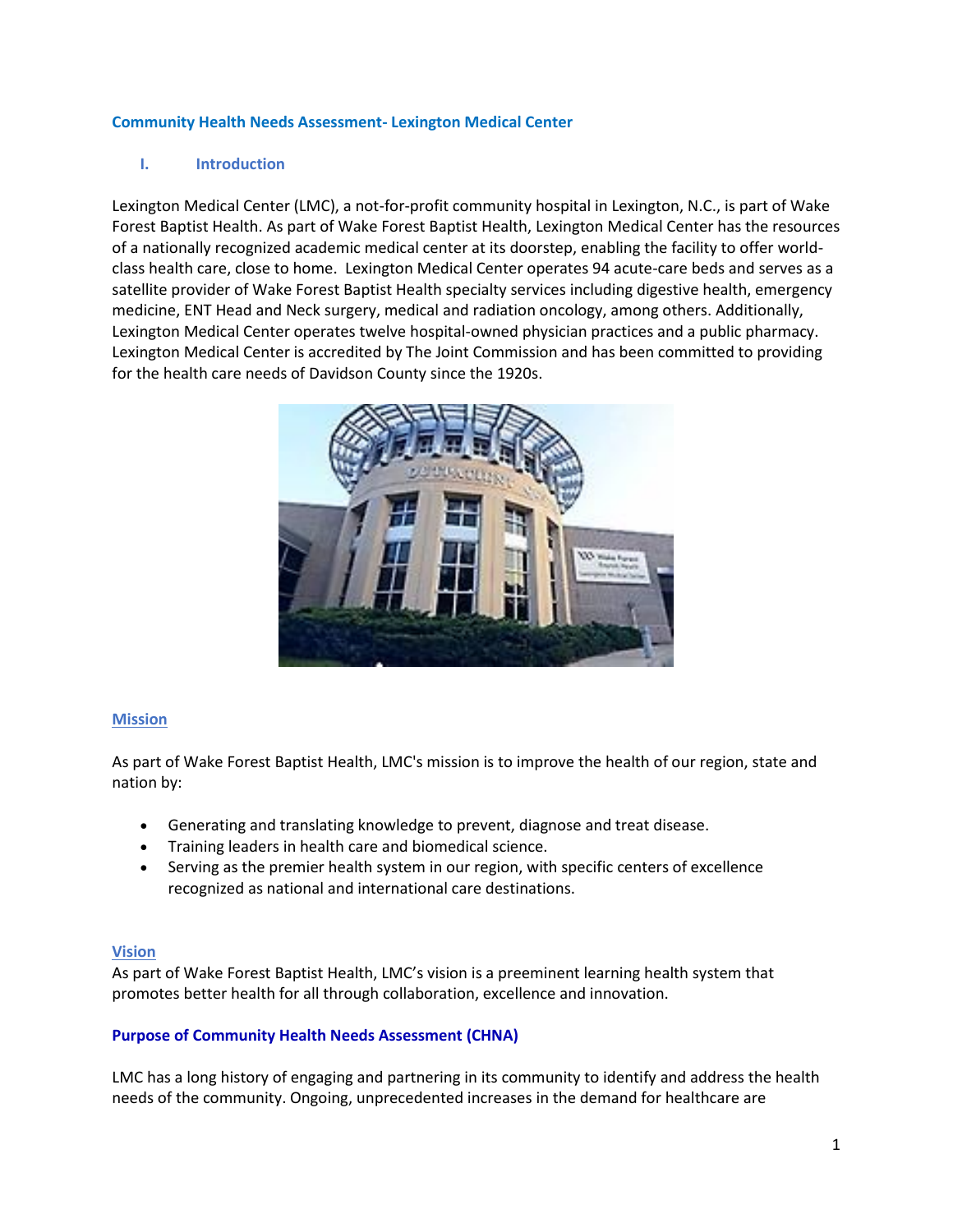#### **Community Health Needs Assessment- Lexington Medical Center**

#### **I. Introduction**

Lexington Medical Center (LMC), a not-for-profit community hospital in Lexington, N.C., is part of Wake Forest Baptist Health. As part of Wake Forest Baptist Health, Lexington Medical Center has the resources of a nationally recognized academic medical center at its doorstep, enabling the facility to offer worldclass health care, close to home. Lexington Medical Center operates 94 acute-care beds and serves as a satellite provider of Wake Forest Baptist Health specialty services including digestive health, emergency medicine, ENT Head and Neck surgery, medical and radiation oncology, among others. Additionally, Lexington Medical Center operates twelve hospital-owned physician practices and a public pharmacy. Lexington Medical Center is accredited by The Joint Commission and has been committed to providing for the health care needs of Davidson County since the 1920s.



#### **Mission**

As part of Wake Forest Baptist Health, LMC's mission is to improve the health of our region, state and nation by:

- Generating and translating knowledge to prevent, diagnose and treat disease.
- Training leaders in health care and biomedical science.
- Serving as the premier health system in our region, with specific centers of excellence recognized as national and international care destinations.

#### **Vision**

As part of Wake Forest Baptist Health, LMC's vision is a preeminent learning health system that promotes better health for all through collaboration, excellence and innovation.

### **Purpose of Community Health Needs Assessment (CHNA)**

LMC has a long history of engaging and partnering in its community to identify and address the health needs of the community. Ongoing, unprecedented increases in the demand for healthcare are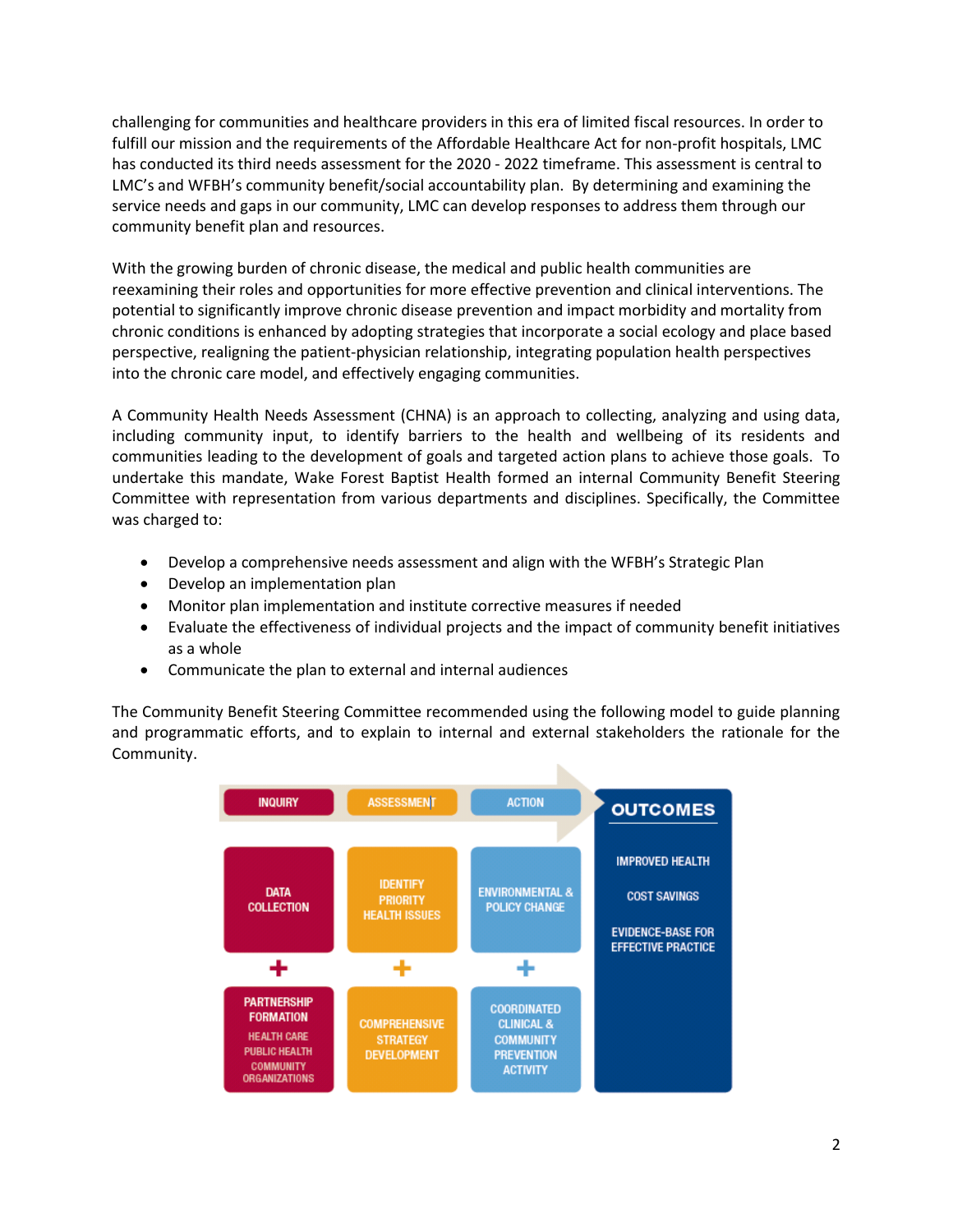challenging for communities and healthcare providers in this era of limited fiscal resources. In order to fulfill our mission and the requirements of the Affordable Healthcare Act for non-profit hospitals, LMC has conducted its third needs assessment for the 2020 - 2022 timeframe. This assessment is central to LMC's and WFBH's community benefit/social accountability plan. By determining and examining the service needs and gaps in our community, LMC can develop responses to address them through our community benefit plan and resources.

With the growing burden of chronic disease, the medical and public health communities are reexamining their roles and opportunities for more effective prevention and clinical interventions. The potential to significantly improve chronic disease prevention and impact morbidity and mortality from chronic conditions is enhanced by adopting strategies that incorporate a social ecology and place based perspective, realigning the patient-physician relationship, integrating population health perspectives into the chronic care model, and effectively engaging communities.

A Community Health Needs Assessment (CHNA) is an approach to collecting, analyzing and using data, including community input, to identify barriers to the health and wellbeing of its residents and communities leading to the development of goals and targeted action plans to achieve those goals. To undertake this mandate, Wake Forest Baptist Health formed an internal Community Benefit Steering Committee with representation from various departments and disciplines. Specifically, the Committee was charged to:

- Develop a comprehensive needs assessment and align with the WFBH's Strategic Plan
- Develop an implementation plan
- Monitor plan implementation and institute corrective measures if needed
- Evaluate the effectiveness of individual projects and the impact of community benefit initiatives as a whole
- Communicate the plan to external and internal audiences

The Community Benefit Steering Committee recommended using the following model to guide planning and programmatic efforts, and to explain to internal and external stakeholders the rationale for the Community.

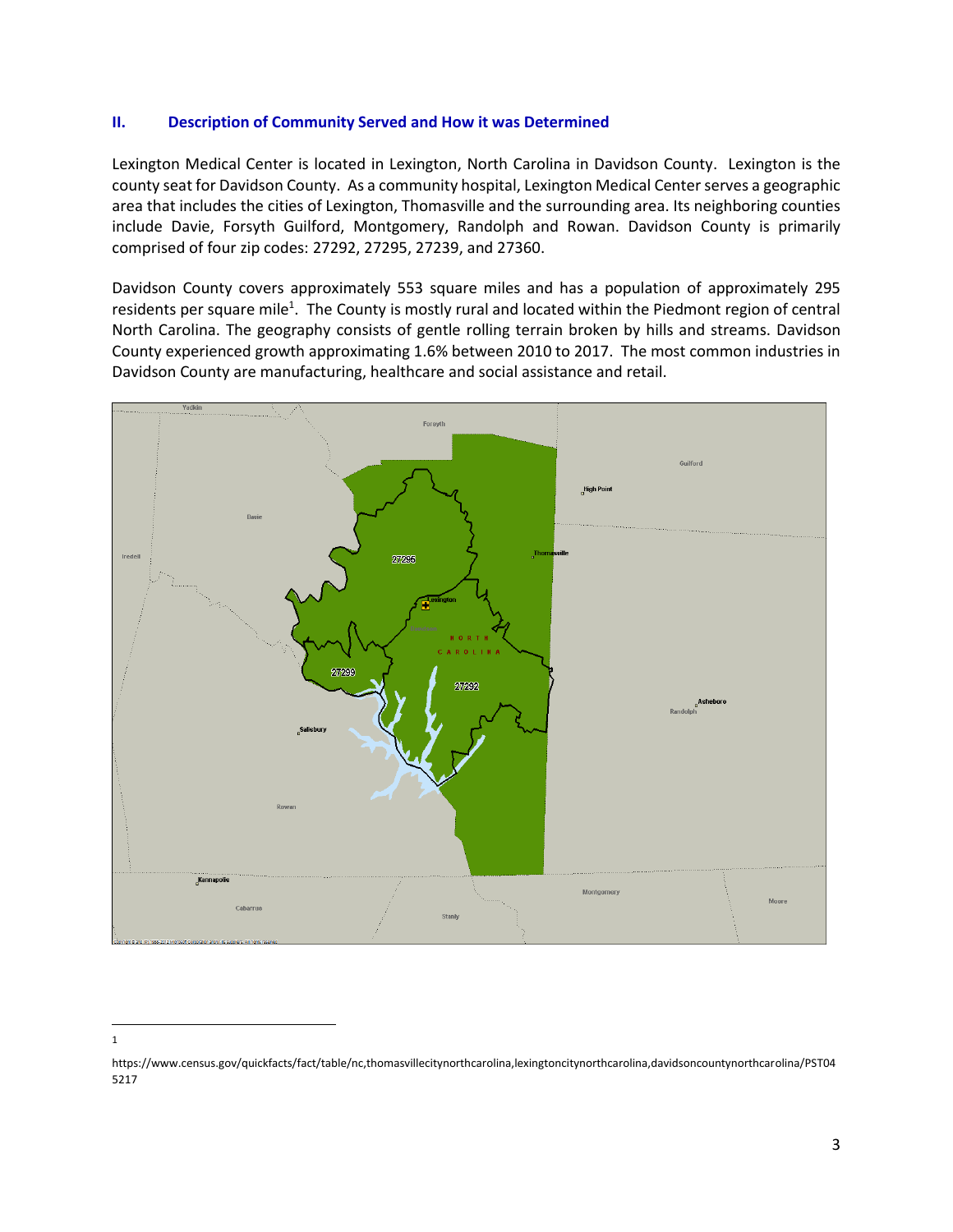#### **II. Description of Community Served and How it was Determined**

Lexington Medical Center is located in Lexington, North Carolina in Davidson County. Lexington is the county seat for Davidson County. As a community hospital, Lexington Medical Center serves a geographic area that includes the cities of Lexington, Thomasville and the surrounding area. Its neighboring counties include Davie, Forsyth Guilford, Montgomery, Randolph and Rowan. Davidson County is primarily comprised of four zip codes: 27292, 27295, 27239, and 27360.

Davidson County covers approximately 553 square miles and has a population of approximately 295 residents per square mile<sup>1</sup>. The County is mostly rural and located within the Piedmont region of central North Carolina. The geography consists of gentle rolling terrain broken by hills and streams. Davidson County experienced growth approximating 1.6% between 2010 to 2017. The most common industries in Davidson County are manufacturing, healthcare and social assistance and retail.



 $\overline{\phantom{a}}$ 1

https://www.census.gov/quickfacts/fact/table/nc,thomasvillecitynorthcarolina,lexingtoncitynorthcarolina,davidsoncountynorthcarolina/PST04 5217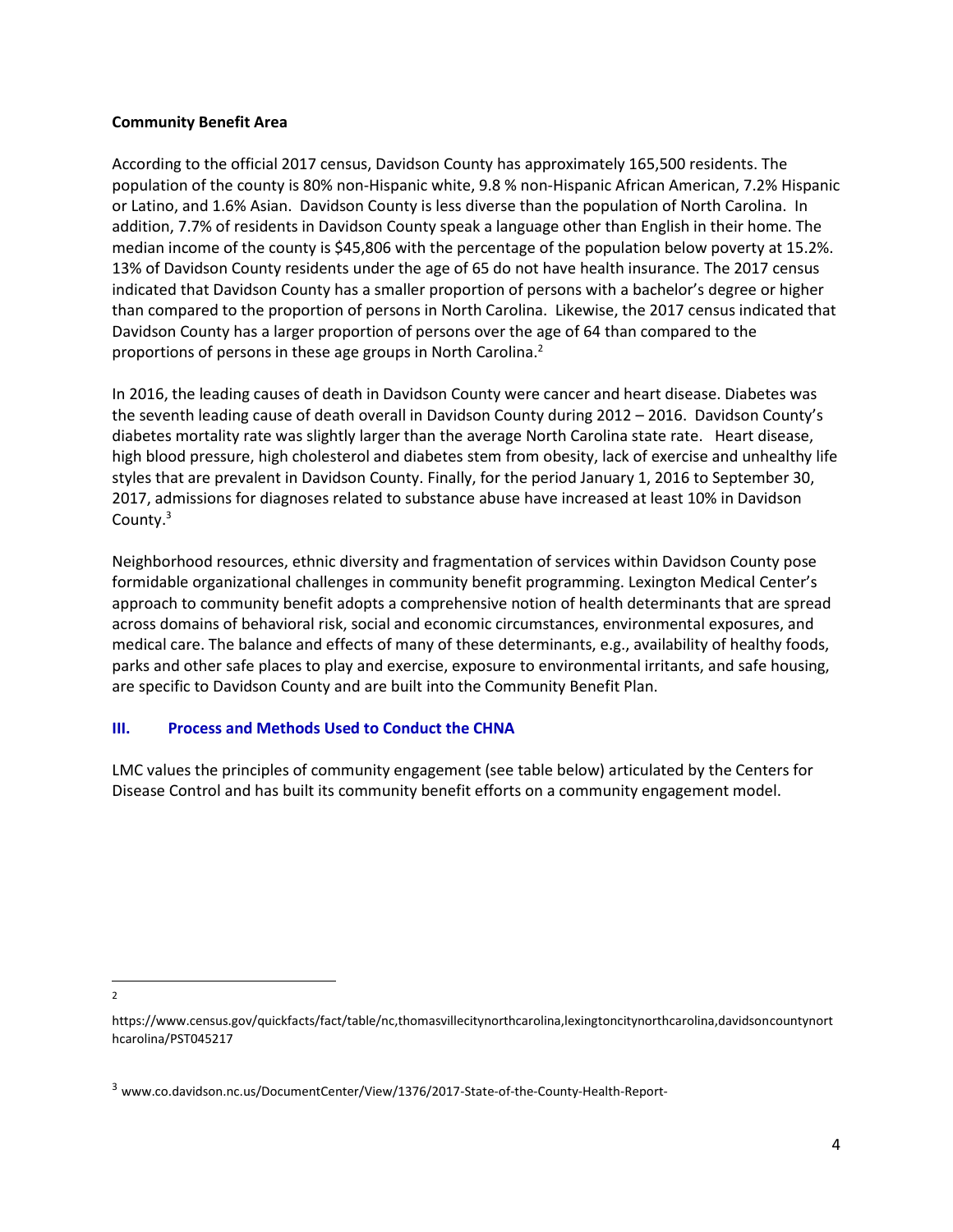#### **Community Benefit Area**

According to the official 2017 census, Davidson County has approximately 165,500 residents. The population of the county is 80% non-Hispanic white, 9.8 % non-Hispanic African American, 7.2% Hispanic or Latino, and 1.6% Asian. Davidson County is less diverse than the population of North Carolina. In addition, 7.7% of residents in Davidson County speak a language other than English in their home. The median income of the county is \$45,806 with the percentage of the population below poverty at 15.2%. 13% of Davidson County residents under the age of 65 do not have health insurance. The 2017 census indicated that Davidson County has a smaller proportion of persons with a bachelor's degree or higher than compared to the proportion of persons in North Carolina. Likewise, the 2017 census indicated that Davidson County has a larger proportion of persons over the age of 64 than compared to the proportions of persons in these age groups in North Carolina.<sup>2</sup>

In 2016, the leading causes of death in Davidson County were cancer and heart disease. Diabetes was the seventh leading cause of death overall in Davidson County during 2012 – 2016. Davidson County's diabetes mortality rate was slightly larger than the average North Carolina state rate. Heart disease, high blood pressure, high cholesterol and diabetes stem from obesity, lack of exercise and unhealthy life styles that are prevalent in Davidson County. Finally, for the period January 1, 2016 to September 30, 2017, admissions for diagnoses related to substance abuse have increased at least 10% in Davidson County.<sup>3</sup>

Neighborhood resources, ethnic diversity and fragmentation of services within Davidson County pose formidable organizational challenges in community benefit programming. Lexington Medical Center's approach to community benefit adopts a comprehensive notion of health determinants that are spread across domains of behavioral risk, social and economic circumstances, environmental exposures, and medical care. The balance and effects of many of these determinants, e.g., availability of healthy foods, parks and other safe places to play and exercise, exposure to environmental irritants, and safe housing, are specific to Davidson County and are built into the Community Benefit Plan.

### **III. Process and Methods Used to Conduct the CHNA**

LMC values the principles of community engagement (see table below) articulated by the Centers for Disease Control and has built its community benefit efforts on a community engagement model.

l 2

https://www.census.gov/quickfacts/fact/table/nc,thomasvillecitynorthcarolina,lexingtoncitynorthcarolina,davidsoncountynort hcarolina/PST045217

<sup>3</sup> www.co.davidson.nc.us/DocumentCenter/View/1376/2017-State-of-the-County-Health-Report-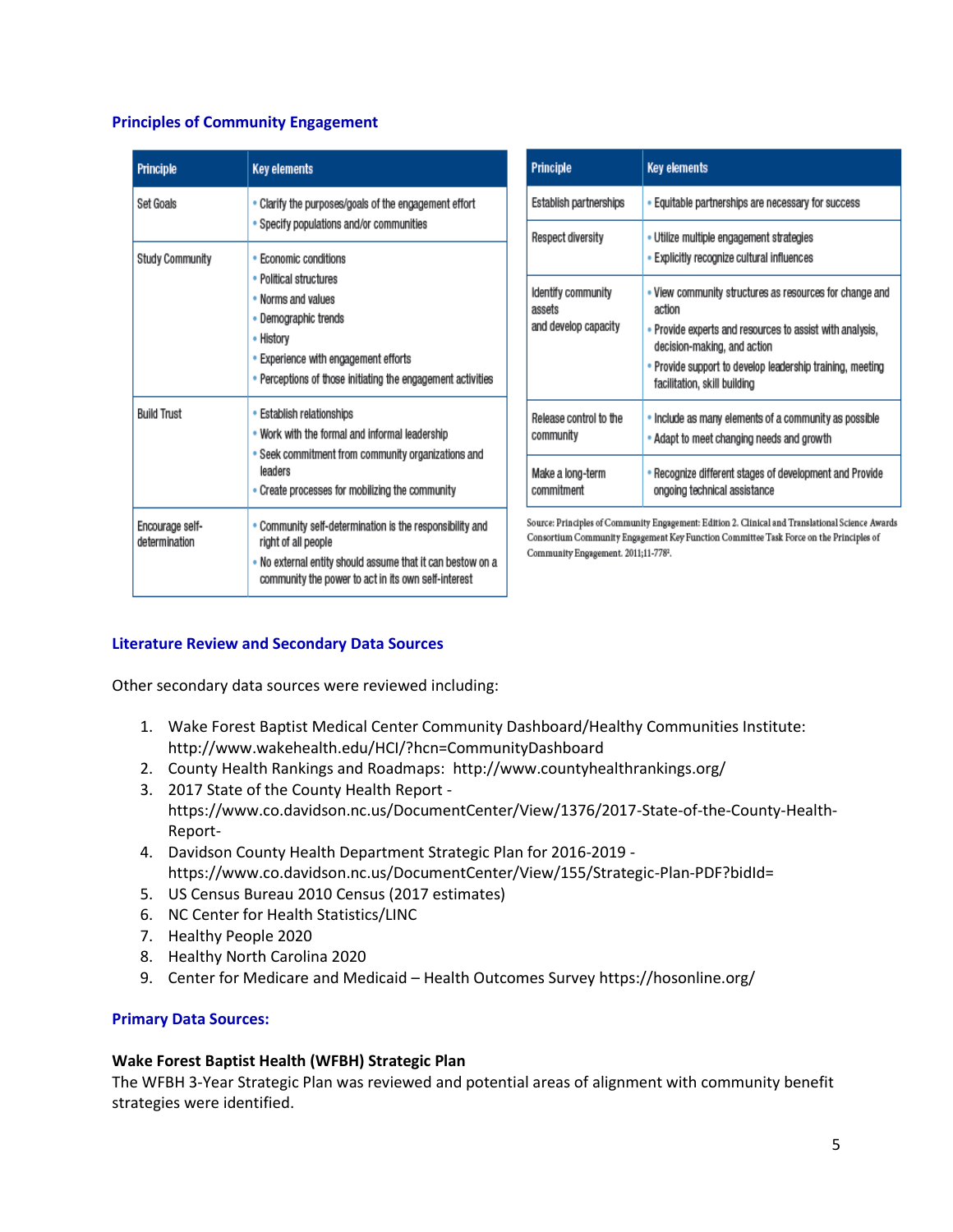#### **Principles of Community Engagement**

| <b>Principle</b>                 | <b>Key elements</b>                                                                                                                                                                                               |
|----------------------------------|-------------------------------------------------------------------------------------------------------------------------------------------------------------------------------------------------------------------|
| Set Goals                        | . Clarify the purposes/goals of the engagement effort<br>• Specify populations and/or communities                                                                                                                 |
| <b>Study Community</b>           | • Economic conditions<br>• Political structures<br>. Norms and values<br>• Demographic trends<br>• History<br>• Experience with engagement efforts<br>• Perceptions of those initiating the engagement activities |
| <b>Build Trust</b>               | • Establish relationships<br>. Work with the formal and informal leadership<br>. Seek commitment from community organizations and<br>leaders<br>. Create processes for mobilizing the community                   |
| Encourage self-<br>determination | • Community self-determination is the responsibility and<br>right of all people<br>. No external entity should assume that it can bestow on a<br>community the power to act in its own self-interest              |

| <b>Principle</b>                                     | <b>Key elements</b>                                                                                                                                                                                                                                       |
|------------------------------------------------------|-----------------------------------------------------------------------------------------------------------------------------------------------------------------------------------------------------------------------------------------------------------|
| Establish partnerships                               | . Equitable partnerships are necessary for success                                                                                                                                                                                                        |
| <b>Respect diversity</b>                             | · Utilize multiple engagement strategies<br>• Explicitly recognize cultural influences                                                                                                                                                                    |
| Identify community<br>assets<br>and develop capacity | . View community structures as resources for change and<br>action<br>. Provide experts and resources to assist with analysis,<br>decision-making, and action<br>• Provide support to develop leadership training, meeting<br>facilitation, skill building |
| Release control to the<br>community                  | . Include as many elements of a community as possible<br>• Adapt to meet changing needs and growth                                                                                                                                                        |
| Make a long-term<br>commitment                       | • Recognize different stages of development and Provide<br>ongoing technical assistance                                                                                                                                                                   |

Source: Principles of Community Engagement: Edition 2. Clinical and Translational Science Awards Consortium Community Engagement Key Function Committee Task Force on the Principles of Community Engagement. 2011;11-7782.

### **Literature Review and Secondary Data Sources**

Other secondary data sources were reviewed including:

- 1. Wake Forest Baptist Medical Center Community Dashboard/Healthy Communities Institute: <http://www.wakehealth.edu/HCI/?hcn=CommunityDashboard>
- 2. County Health Rankings and Roadmaps: <http://www.countyhealthrankings.org/>
- 3. 2017 State of the County Health Report https://www.co.davidson.nc.us/DocumentCenter/View/1376/2017-State-of-the-County-Health-Report-
- 4. Davidson County Health Department Strategic Plan for 2016-2019 https://www.co.davidson.nc.us/DocumentCenter/View/155/Strategic-Plan-PDF?bidId=
- 5. US Census Bureau 2010 Census (2017 estimates)
- 6. NC Center for Health Statistics/LINC
- 7. Healthy People 2020
- 8. Healthy North Carolina 2020
- 9. Center for Medicare and Medicaid Health Outcomes Survey https://hosonline.org/

### **Primary Data Sources:**

### **Wake Forest Baptist Health (WFBH) Strategic Plan**

The WFBH 3-Year Strategic Plan was reviewed and potential areas of alignment with community benefit strategies were identified.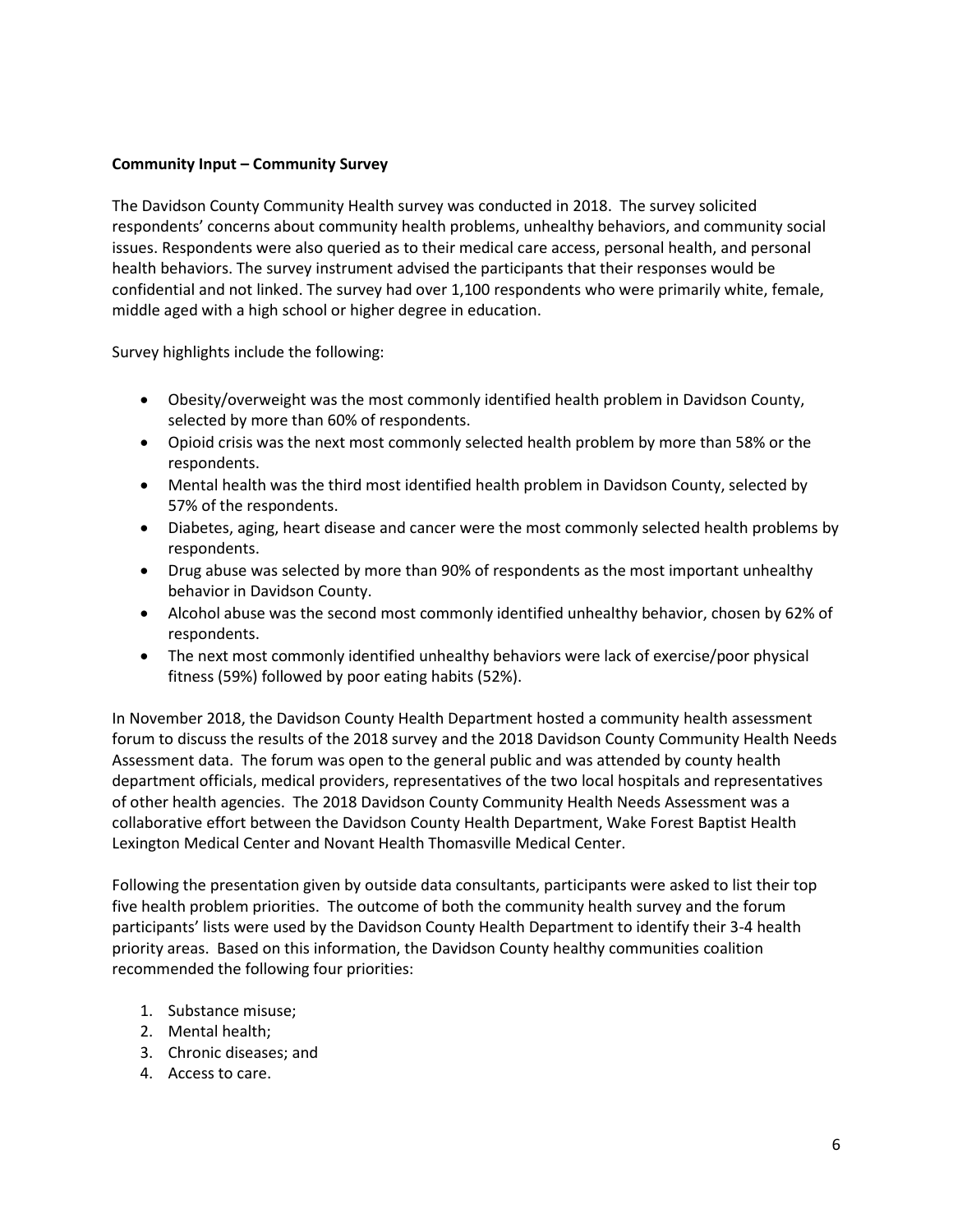#### **Community Input – Community Survey**

The Davidson County Community Health survey was conducted in 2018. The survey solicited respondents' concerns about community health problems, unhealthy behaviors, and community social issues. Respondents were also queried as to their medical care access, personal health, and personal health behaviors. The survey instrument advised the participants that their responses would be confidential and not linked. The survey had over 1,100 respondents who were primarily white, female, middle aged with a high school or higher degree in education.

Survey highlights include the following:

- Obesity/overweight was the most commonly identified health problem in Davidson County, selected by more than 60% of respondents.
- Opioid crisis was the next most commonly selected health problem by more than 58% or the respondents.
- Mental health was the third most identified health problem in Davidson County, selected by 57% of the respondents.
- Diabetes, aging, heart disease and cancer were the most commonly selected health problems by respondents.
- Drug abuse was selected by more than 90% of respondents as the most important unhealthy behavior in Davidson County.
- Alcohol abuse was the second most commonly identified unhealthy behavior, chosen by 62% of respondents.
- The next most commonly identified unhealthy behaviors were lack of exercise/poor physical fitness (59%) followed by poor eating habits (52%).

In November 2018, the Davidson County Health Department hosted a community health assessment forum to discuss the results of the 2018 survey and the 2018 Davidson County Community Health Needs Assessment data. The forum was open to the general public and was attended by county health department officials, medical providers, representatives of the two local hospitals and representatives of other health agencies. The 2018 Davidson County Community Health Needs Assessment was a collaborative effort between the Davidson County Health Department, Wake Forest Baptist Health Lexington Medical Center and Novant Health Thomasville Medical Center.

Following the presentation given by outside data consultants, participants were asked to list their top five health problem priorities. The outcome of both the community health survey and the forum participants' lists were used by the Davidson County Health Department to identify their 3-4 health priority areas. Based on this information, the Davidson County healthy communities coalition recommended the following four priorities:

- 1. Substance misuse;
- 2. Mental health;
- 3. Chronic diseases; and
- 4. Access to care.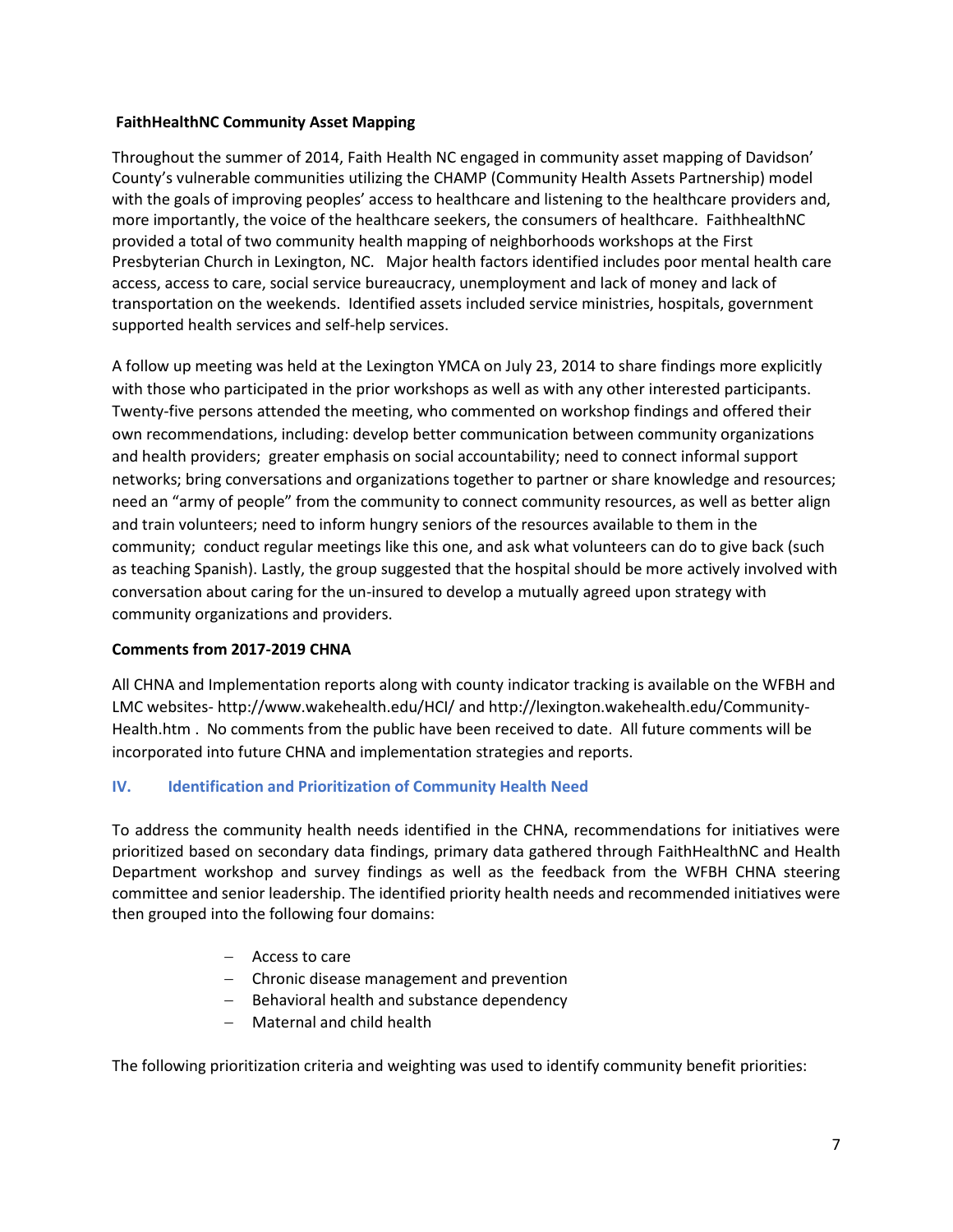### **FaithHealthNC Community Asset Mapping**

Throughout the summer of 2014, Faith Health NC engaged in community asset mapping of Davidson' County's vulnerable communities utilizing the CHAMP (Community Health Assets Partnership) model with the goals of improving peoples' access to healthcare and listening to the healthcare providers and, more importantly, the voice of the healthcare seekers, the consumers of healthcare. FaithhealthNC provided a total of two community health mapping of neighborhoods workshops at the First Presbyterian Church in Lexington, NC. Major health factors identified includes poor mental health care access, access to care, social service bureaucracy, unemployment and lack of money and lack of transportation on the weekends. Identified assets included service ministries, hospitals, government supported health services and self-help services.

A follow up meeting was held at the Lexington YMCA on July 23, 2014 to share findings more explicitly with those who participated in the prior workshops as well as with any other interested participants. Twenty-five persons attended the meeting, who commented on workshop findings and offered their own recommendations, including: develop better communication between community organizations and health providers; greater emphasis on social accountability; need to connect informal support networks; bring conversations and organizations together to partner or share knowledge and resources; need an "army of people" from the community to connect community resources, as well as better align and train volunteers; need to inform hungry seniors of the resources available to them in the community; conduct regular meetings like this one, and ask what volunteers can do to give back (such as teaching Spanish). Lastly, the group suggested that the hospital should be more actively involved with conversation about caring for the un-insured to develop a mutually agreed upon strategy with community organizations and providers.

### **Comments from 2017-2019 CHNA**

All CHNA and Implementation reports along with county indicator tracking is available on the WFBH and LMC websites- <http://www.wakehealth.edu/HCI/> and [http://lexington.wakehealth.edu/Community-](http://lexington.wakehealth.edu/Community-Health.htm)[Health.htm](http://lexington.wakehealth.edu/Community-Health.htm) . No comments from the public have been received to date. All future comments will be incorporated into future CHNA and implementation strategies and reports.

## **IV. Identification and Prioritization of Community Health Need**

To address the community health needs identified in the CHNA, recommendations for initiatives were prioritized based on secondary data findings, primary data gathered through FaithHealthNC and Health Department workshop and survey findings as well as the feedback from the WFBH CHNA steering committee and senior leadership. The identified priority health needs and recommended initiatives were then grouped into the following four domains:

- Access to care
- Chronic disease management and prevention
- Behavioral health and substance dependency
- Maternal and child health

The following prioritization criteria and weighting was used to identify community benefit priorities: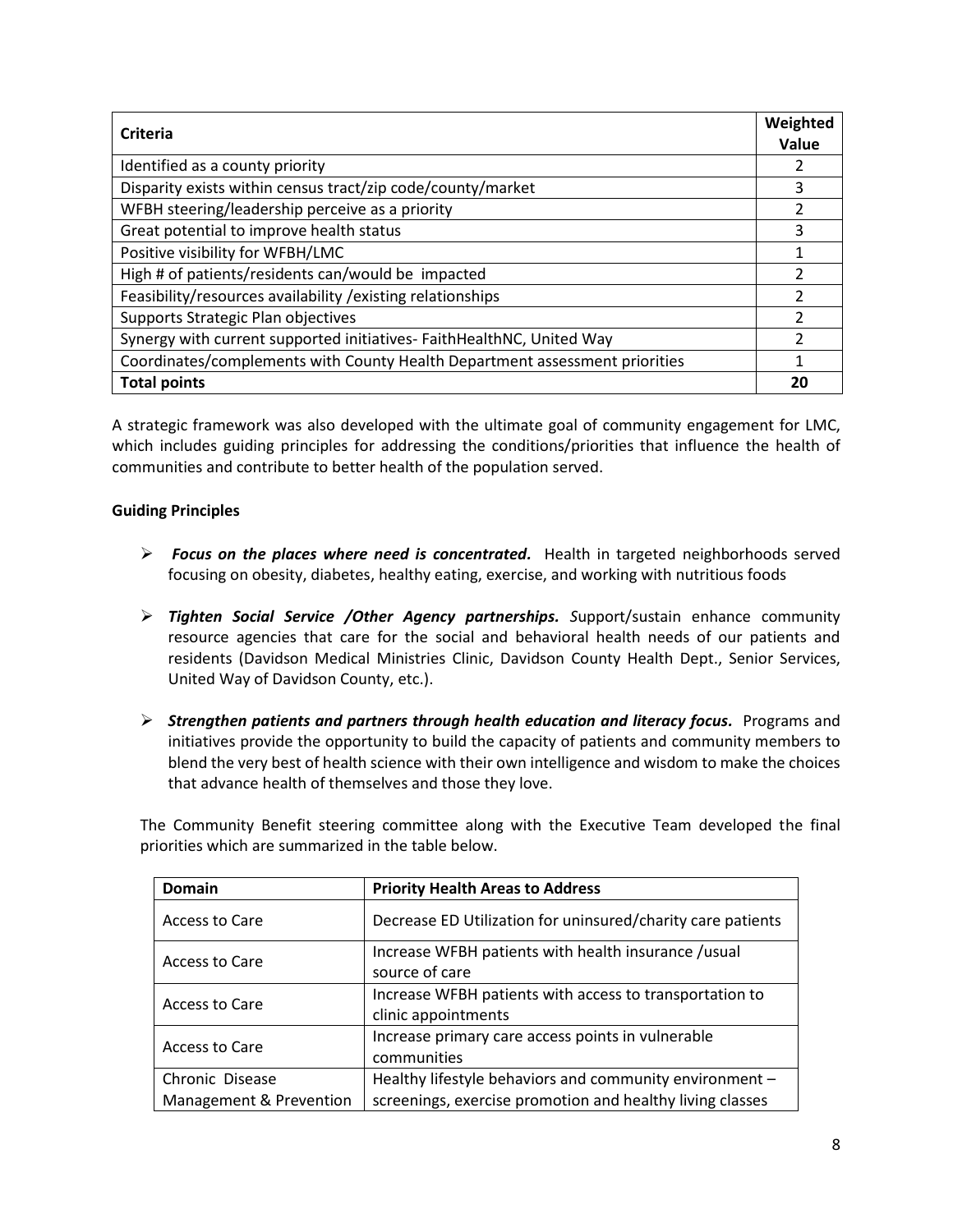| Criteria                                                                    | Weighted<br>Value |
|-----------------------------------------------------------------------------|-------------------|
| Identified as a county priority                                             |                   |
| Disparity exists within census tract/zip code/county/market                 | 3                 |
| WFBH steering/leadership perceive as a priority                             | $\mathfrak{p}$    |
| Great potential to improve health status                                    | 3                 |
| Positive visibility for WFBH/LMC                                            |                   |
| High # of patients/residents can/would be impacted                          | $\mathfrak{p}$    |
| Feasibility/resources availability / existing relationships                 | $\mathcal{P}$     |
| Supports Strategic Plan objectives                                          | $\mathcal{P}$     |
| Synergy with current supported initiatives- FaithHealthNC, United Way       | $\mathfrak z$     |
| Coordinates/complements with County Health Department assessment priorities |                   |
| <b>Total points</b>                                                         | 20                |

A strategic framework was also developed with the ultimate goal of community engagement for LMC, which includes guiding principles for addressing the conditions/priorities that influence the health of communities and contribute to better health of the population served.

## **Guiding Principles**

- **Focus on the places where need is concentrated.** Health in targeted neighborhoods served focusing on obesity, diabetes, healthy eating, exercise, and working with nutritious foods
- *Tighten Social Service /Other Agency partnerships. S*upport/sustain enhance community resource agencies that care for the social and behavioral health needs of our patients and residents (Davidson Medical Ministries Clinic, Davidson County Health Dept., Senior Services, United Way of Davidson County, etc.).
- *Strengthen patients and partners through health education and literacy focus.* Programs and initiatives provide the opportunity to build the capacity of patients and community members to blend the very best of health science with their own intelligence and wisdom to make the choices that advance health of themselves and those they love.

The Community Benefit steering committee along with the Executive Team developed the final priorities which are summarized in the table below.

| <b>Domain</b>           | <b>Priority Health Areas to Address</b>                                        |
|-------------------------|--------------------------------------------------------------------------------|
| Access to Care          | Decrease ED Utilization for uninsured/charity care patients                    |
| Access to Care          | Increase WFBH patients with health insurance /usual<br>source of care          |
| Access to Care          | Increase WFBH patients with access to transportation to<br>clinic appointments |
| Access to Care          | Increase primary care access points in vulnerable<br>communities               |
| Chronic Disease         | Healthy lifestyle behaviors and community environment -                        |
| Management & Prevention | screenings, exercise promotion and healthy living classes                      |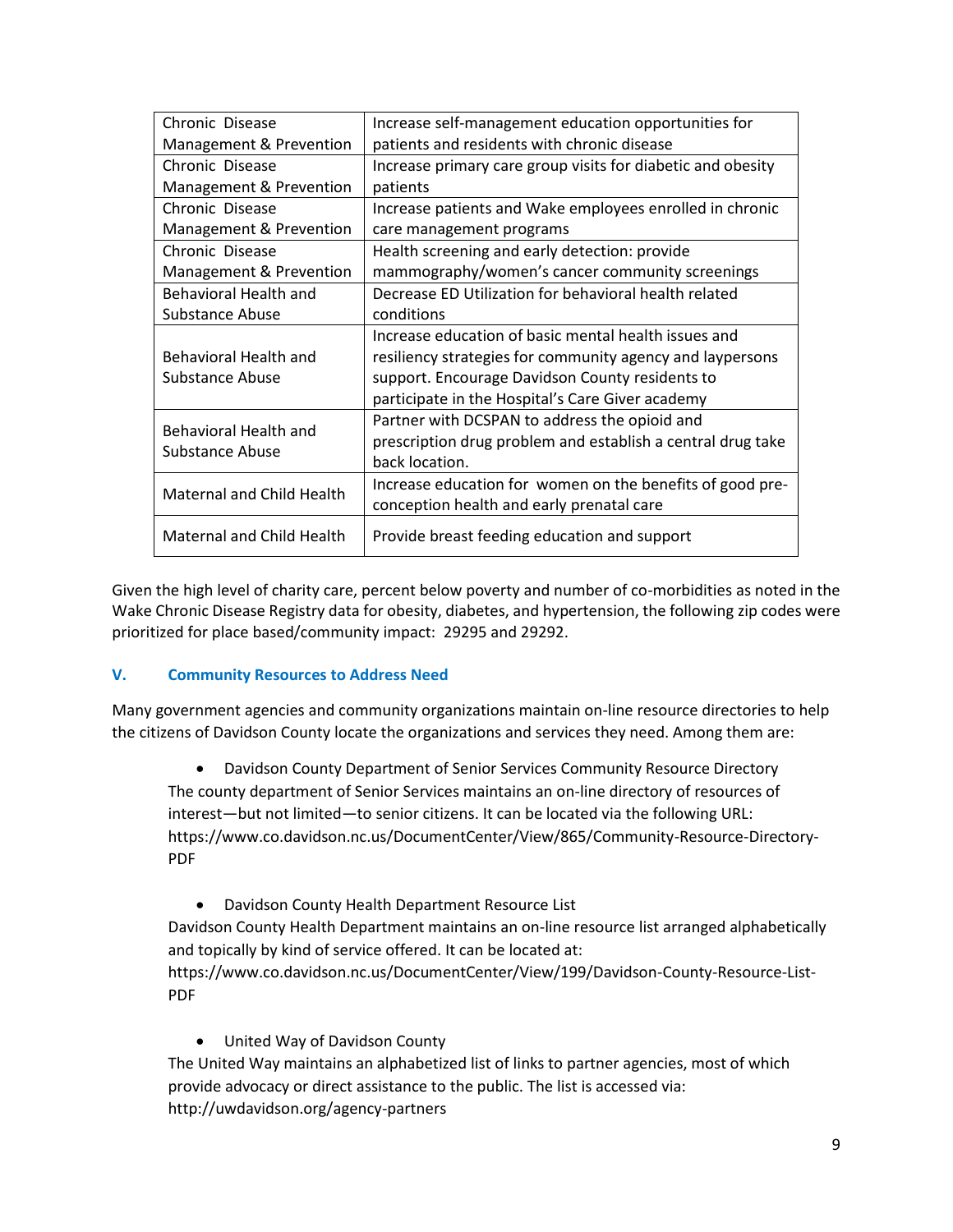| Chronic Disease                  | Increase self-management education opportunities for        |
|----------------------------------|-------------------------------------------------------------|
| Management & Prevention          | patients and residents with chronic disease                 |
| Chronic Disease                  | Increase primary care group visits for diabetic and obesity |
| Management & Prevention          | patients                                                    |
| Chronic Disease                  | Increase patients and Wake employees enrolled in chronic    |
| Management & Prevention          | care management programs                                    |
| Chronic Disease                  | Health screening and early detection: provide               |
| Management & Prevention          | mammography/women's cancer community screenings             |
| Behavioral Health and            | Decrease ED Utilization for behavioral health related       |
| <b>Substance Abuse</b>           | conditions                                                  |
|                                  | Increase education of basic mental health issues and        |
| Behavioral Health and            | resiliency strategies for community agency and laypersons   |
| <b>Substance Abuse</b>           | support. Encourage Davidson County residents to             |
|                                  | participate in the Hospital's Care Giver academy            |
| Behavioral Health and            | Partner with DCSPAN to address the opioid and               |
| Substance Abuse                  | prescription drug problem and establish a central drug take |
|                                  | back location.                                              |
| <b>Maternal and Child Health</b> | Increase education for women on the benefits of good pre-   |
|                                  | conception health and early prenatal care                   |
| <b>Maternal and Child Health</b> | Provide breast feeding education and support                |

Given the high level of charity care, percent below poverty and number of co-morbidities as noted in the Wake Chronic Disease Registry data for obesity, diabetes, and hypertension, the following zip codes were prioritized for place based/community impact: 29295 and 29292.

## **V. Community Resources to Address Need**

Many government agencies and community organizations maintain on-line resource directories to help the citizens of Davidson County locate the organizations and services they need. Among them are:

 Davidson County Department of Senior Services Community Resource Directory The county department of Senior Services maintains an on-line directory of resources of interest—but not limited—to senior citizens. It can be located via the following URL: [https://www.co.davidson.nc.us/DocumentCenter/View/865/Community-Resource-Directory-](https://www.co.davidson.nc.us/DocumentCenter/View/865/Community-Resource-Directory-PDF)[PDF](https://www.co.davidson.nc.us/DocumentCenter/View/865/Community-Resource-Directory-PDF)

Davidson County Health Department Resource List

Davidson County Health Department maintains an on-line resource list arranged alphabetically and topically by kind of service offered. It can be located at:

[https://www.co.davidson.nc.us/DocumentCenter/View/199/Davidson-County-Resource-List-](https://www.co.davidson.nc.us/DocumentCenter/View/199/Davidson-County-Resource-List-PDF)[PDF](https://www.co.davidson.nc.us/DocumentCenter/View/199/Davidson-County-Resource-List-PDF)

United Way of Davidson County

The United Way maintains an alphabetized list of links to partner agencies, most of which provide advocacy or direct assistance to the public. The list is accessed via: <http://uwdavidson.org/agency-partners>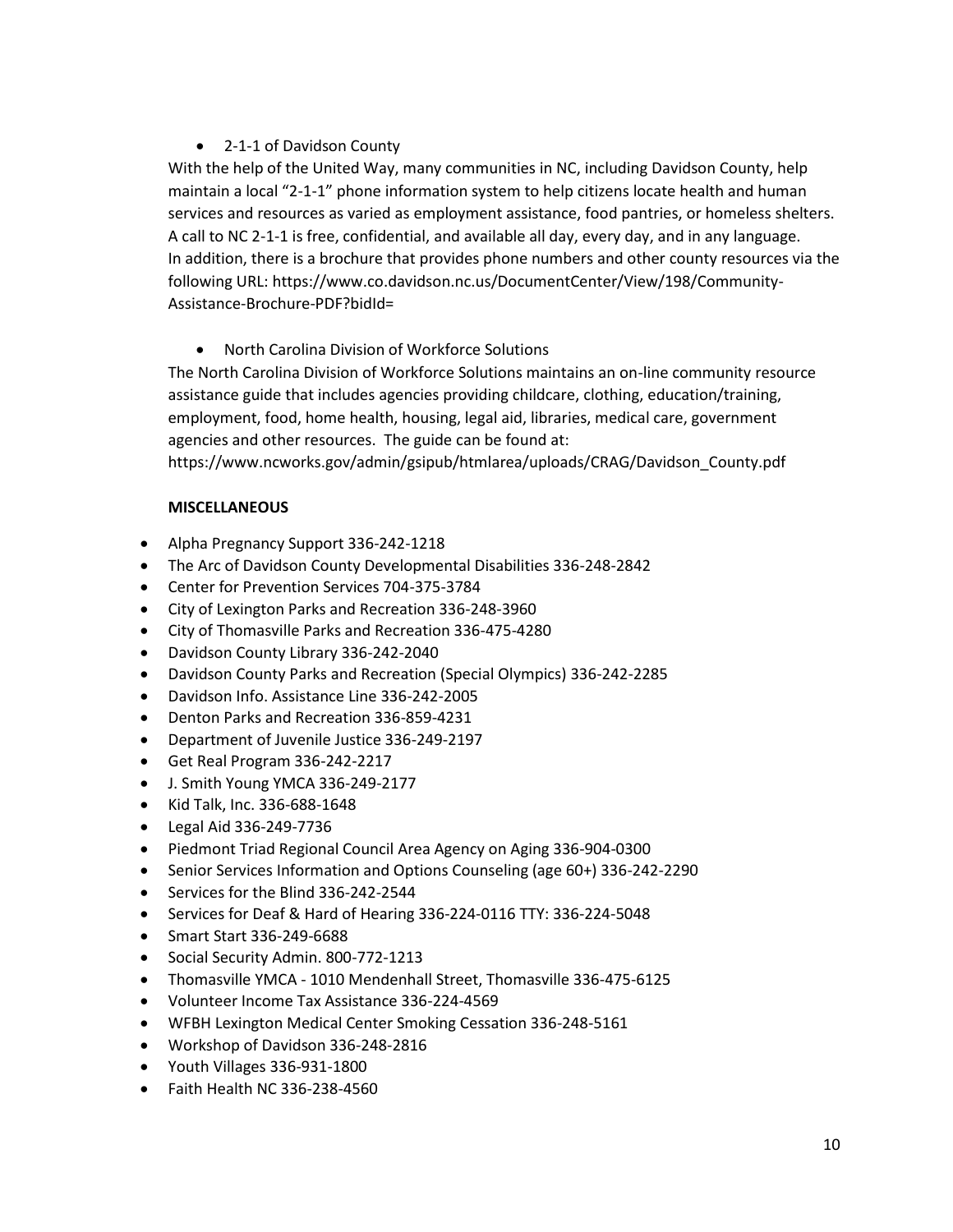# 2-1-1 of Davidson County

With the help of the United Way, many communities in NC, including Davidson County, help maintain a local "2-1-1" phone information system to help citizens locate health and human services and resources as varied as employment assistance, food pantries, or homeless shelters. A call to NC 2-1-1 is free, confidential, and available all day, every day, and in any language. In addition, there is a brochure that provides phone numbers and other county resources via the following URL: https://www.co.davidson.nc.us/DocumentCenter/View/198/Community-Assistance-Brochure-PDF?bidId=

North Carolina Division of Workforce Solutions

The North Carolina Division of Workforce Solutions maintains an on-line community resource assistance guide that includes agencies providing childcare, clothing, education/training, employment, food, home health, housing, legal aid, libraries, medical care, government agencies and other resources. The guide can be found at:

[https://www.ncworks.gov/admin/gsipub/htmlarea/uploads/CRAG/Davidson\\_County.pdf](https://www.ncworks.gov/admin/gsipub/htmlarea/uploads/CRAG/Davidson_County.pdf)

## **MISCELLANEOUS**

- Alpha Pregnancy Support 336-242-1218
- The Arc of Davidson County Developmental Disabilities 336-248-2842
- Center for Prevention Services 704-375-3784
- City of Lexington Parks and Recreation 336-248-3960
- City of Thomasville Parks and Recreation 336-475-4280
- Davidson County Library 336-242-2040
- Davidson County Parks and Recreation (Special Olympics) 336-242-2285
- Davidson Info. Assistance Line 336-242-2005
- Denton Parks and Recreation 336-859-4231
- Department of Juvenile Justice 336-249-2197
- Get Real Program 336-242-2217
- J. Smith Young YMCA 336-249-2177
- Kid Talk, Inc. 336-688-1648
- Legal Aid 336-249-7736
- Piedmont Triad Regional Council Area Agency on Aging 336-904-0300
- Senior Services Information and Options Counseling (age 60+) 336-242-2290
- Services for the Blind 336-242-2544
- Services for Deaf & Hard of Hearing 336-224-0116 TTY: 336-224-5048
- Smart Start 336-249-6688
- Social Security Admin. 800-772-1213
- Thomasville YMCA 1010 Mendenhall Street, Thomasville 336-475-6125
- Volunteer Income Tax Assistance 336-224-4569
- WFBH Lexington Medical Center Smoking Cessation 336-248-5161
- Workshop of Davidson 336-248-2816
- Youth Villages 336-931-1800
- Faith Health NC 336-238-4560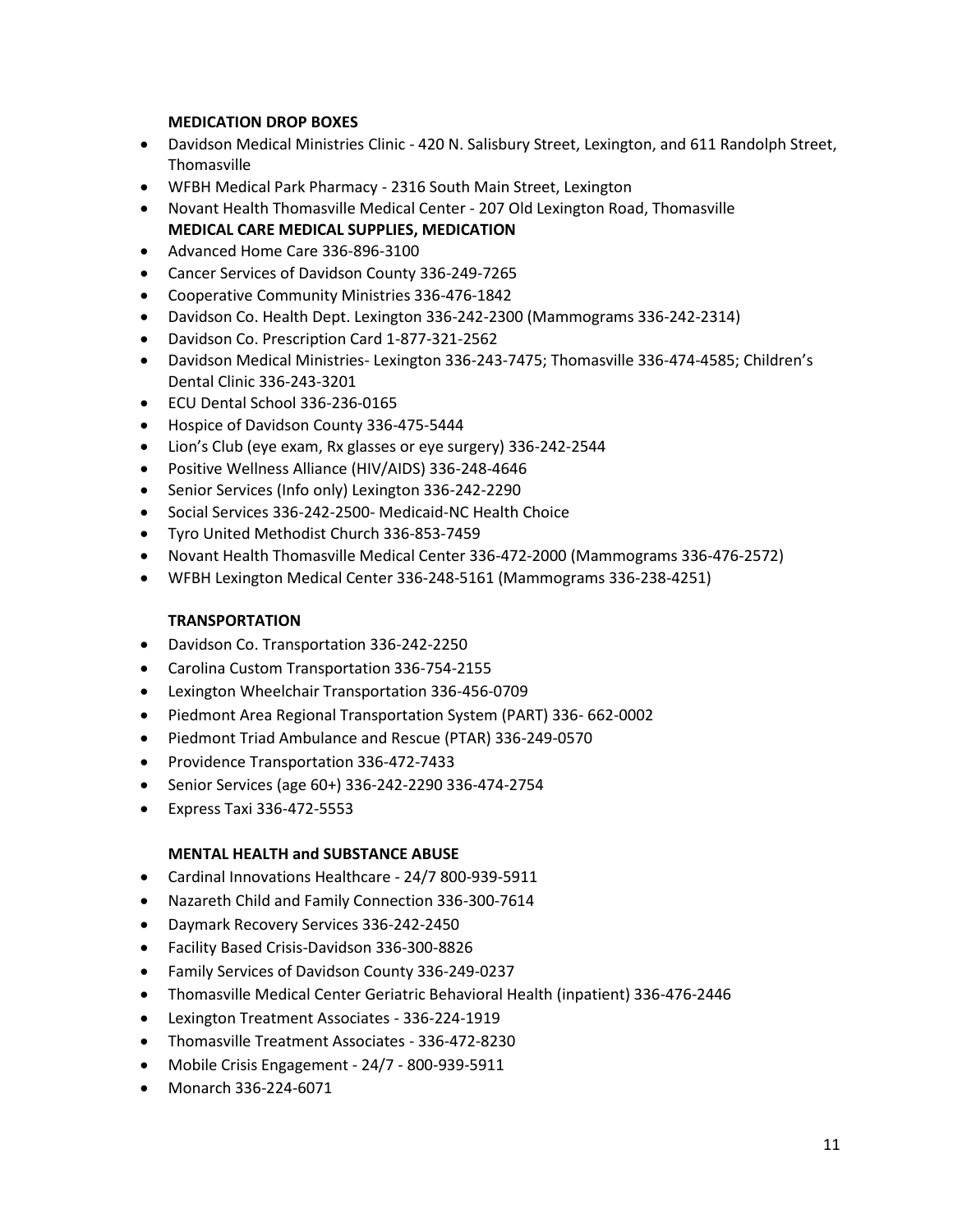### **MEDICATION DROP BOXES**

- Davidson Medical Ministries Clinic 420 N. Salisbury Street, Lexington, and 611 Randolph Street, **Thomasville**
- WFBH Medical Park Pharmacy 2316 South Main Street, Lexington
- Novant Health Thomasville Medical Center 207 Old Lexington Road, Thomasville **MEDICAL CARE MEDICAL SUPPLIES, MEDICATION**
- Advanced Home Care 336-896-3100
- Cancer Services of Davidson County 336-249-7265
- Cooperative Community Ministries 336-476-1842
- Davidson Co. Health Dept. Lexington 336-242-2300 (Mammograms 336-242-2314)
- Davidson Co. Prescription Card 1-877-321-2562
- Davidson Medical Ministries- Lexington 336-243-7475; Thomasville 336-474-4585; Children's Dental Clinic 336-243-3201
- ECU Dental School 336-236-0165
- Hospice of Davidson County 336-475-5444
- Lion's Club (eye exam, Rx glasses or eye surgery) 336-242-2544
- Positive Wellness Alliance (HIV/AIDS) 336-248-4646
- Senior Services (Info only) Lexington 336-242-2290
- Social Services 336-242-2500- Medicaid-NC Health Choice
- Tyro United Methodist Church 336-853-7459
- Novant Health Thomasville Medical Center 336-472-2000 (Mammograms 336-476-2572)
- WFBH Lexington Medical Center 336-248-5161 (Mammograms 336-238-4251)

### **TRANSPORTATION**

- Davidson Co. Transportation 336-242-2250
- Carolina Custom Transportation 336-754-2155
- Lexington Wheelchair Transportation 336-456-0709
- Piedmont Area Regional Transportation System (PART) 336- 662-0002
- Piedmont Triad Ambulance and Rescue (PTAR) 336-249-0570
- Providence Transportation 336-472-7433
- Senior Services (age 60+) 336-242-2290 336-474-2754
- Express Taxi 336-472-5553

### **MENTAL HEALTH and SUBSTANCE ABUSE**

- Cardinal Innovations Healthcare 24/7 800-939-5911
- Nazareth Child and Family Connection 336-300-7614
- Daymark Recovery Services 336-242-2450
- Facility Based Crisis-Davidson 336-300-8826
- Family Services of Davidson County 336-249-0237
- Thomasville Medical Center Geriatric Behavioral Health (inpatient) 336-476-2446
- Lexington Treatment Associates 336-224-1919
- Thomasville Treatment Associates 336-472-8230
- Mobile Crisis Engagement 24/7 800-939-5911
- Monarch 336-224-6071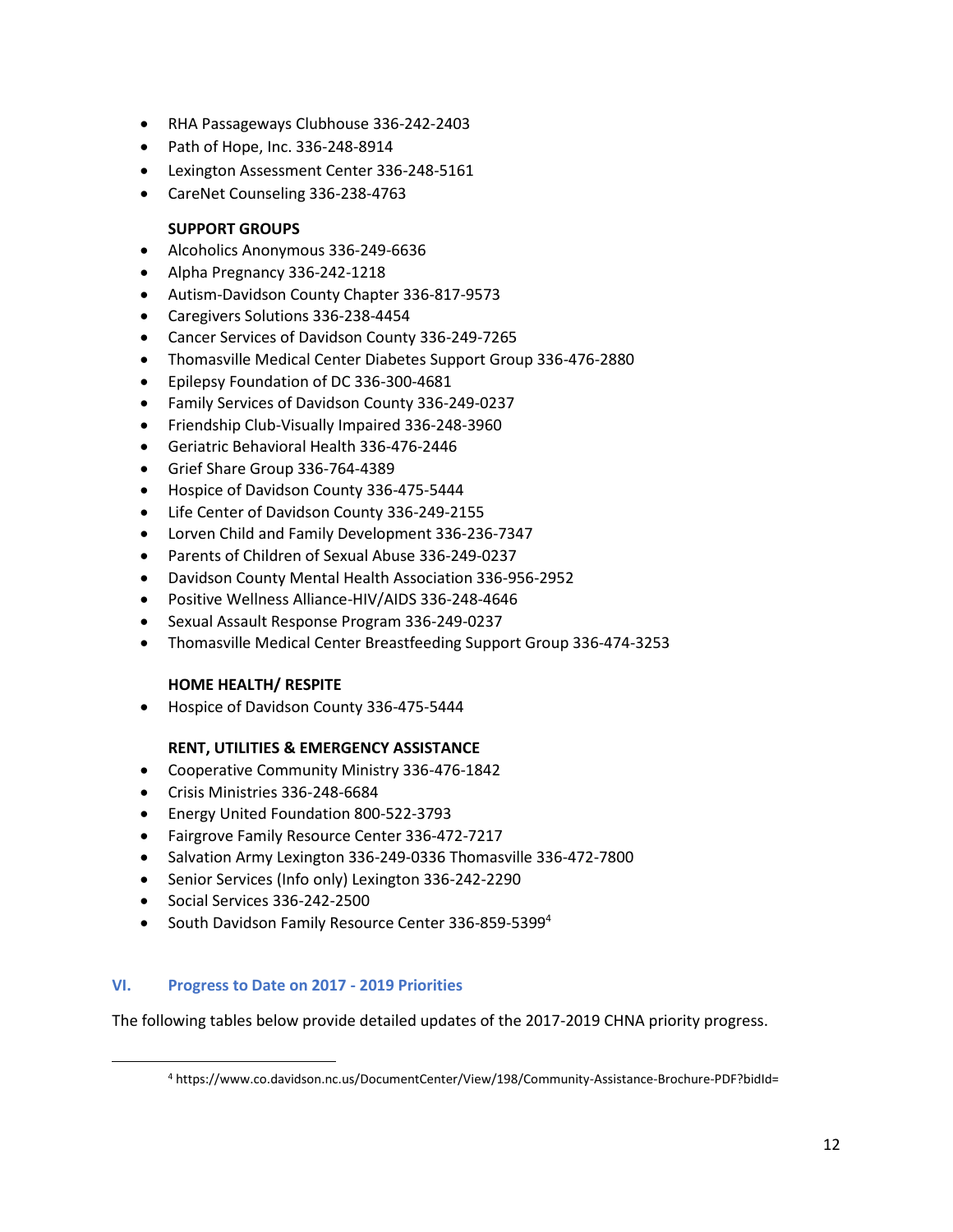- RHA Passageways Clubhouse 336-242-2403
- Path of Hope, Inc. 336-248-8914
- Lexington Assessment Center 336-248-5161
- CareNet Counseling 336-238-4763

## **SUPPORT GROUPS**

- Alcoholics Anonymous 336-249-6636
- Alpha Pregnancy 336-242-1218
- Autism-Davidson County Chapter 336-817-9573
- Caregivers Solutions 336-238-4454
- Cancer Services of Davidson County 336-249-7265
- Thomasville Medical Center Diabetes Support Group 336-476-2880
- Epilepsy Foundation of DC 336-300-4681
- Family Services of Davidson County 336-249-0237
- Friendship Club-Visually Impaired 336-248-3960
- Geriatric Behavioral Health 336-476-2446
- Grief Share Group 336-764-4389
- Hospice of Davidson County 336-475-5444
- Life Center of Davidson County 336-249-2155
- Lorven Child and Family Development 336-236-7347
- Parents of Children of Sexual Abuse 336-249-0237
- Davidson County Mental Health Association 336-956-2952
- Positive Wellness Alliance-HIV/AIDS 336-248-4646
- Sexual Assault Response Program 336-249-0237
- Thomasville Medical Center Breastfeeding Support Group 336-474-3253

## **HOME HEALTH/ RESPITE**

Hospice of Davidson County 336-475-5444

## **RENT, UTILITIES & EMERGENCY ASSISTANCE**

- Cooperative Community Ministry 336-476-1842
- Crisis Ministries 336-248-6684
- **•** Energy United Foundation 800-522-3793
- Fairgrove Family Resource Center 336-472-7217
- Salvation Army Lexington 336-249-0336 Thomasville 336-472-7800
- Senior Services (Info only) Lexington 336-242-2290
- Social Services 336-242-2500

 $\overline{\phantom{a}}$ 

 $\bullet$  South Davidson Family Resource Center 336-859-5399<sup>4</sup>

## **VI. Progress to Date on 2017 - 2019 Priorities**

The following tables below provide detailed updates of the 2017-2019 CHNA priority progress.

<sup>4</sup> https://www.co.davidson.nc.us/DocumentCenter/View/198/Community-Assistance-Brochure-PDF?bidId=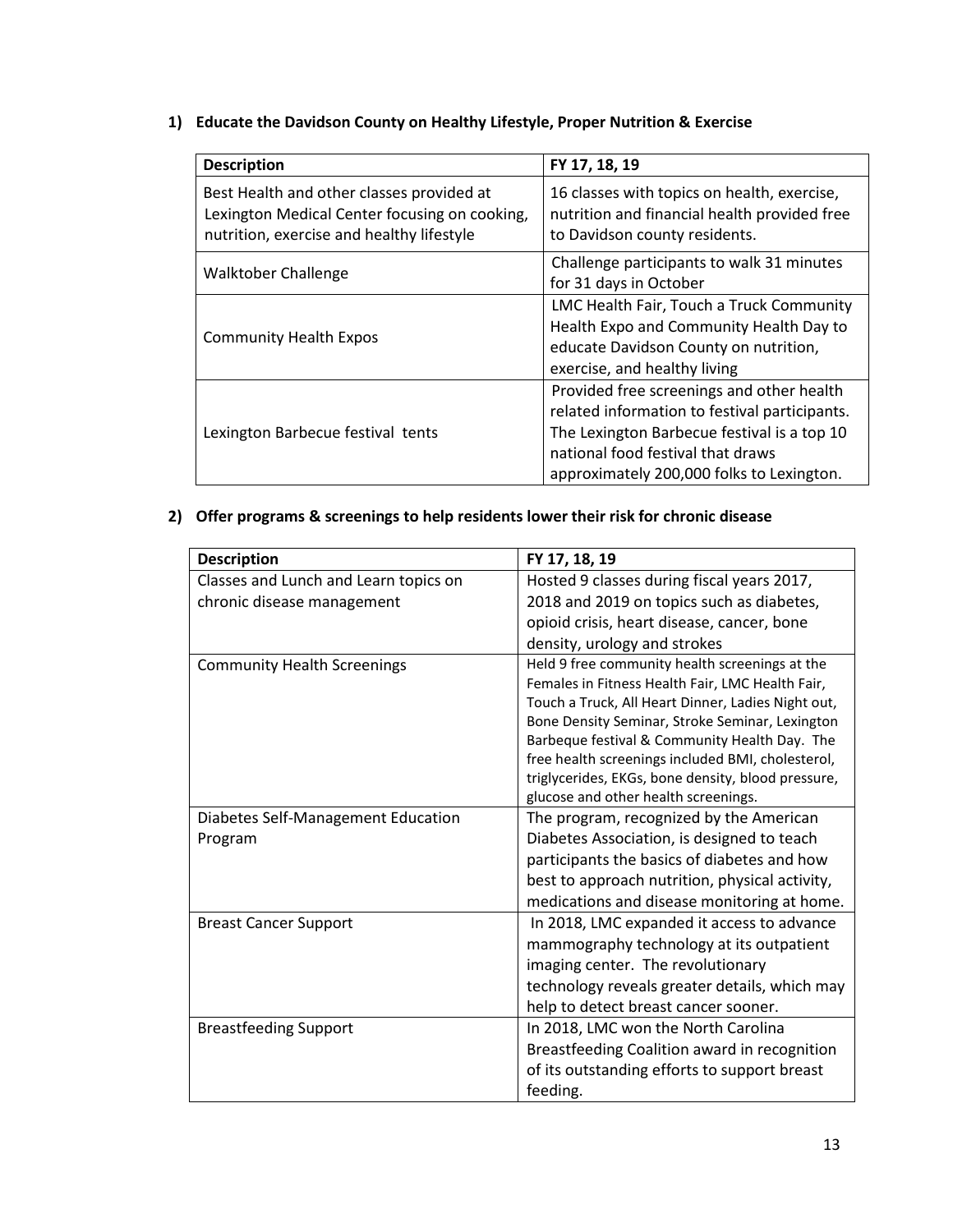**1) Educate the Davidson County on Healthy Lifestyle, Proper Nutrition & Exercise**

| <b>Description</b>                                                                                                                      | FY 17, 18, 19                                                                                                                                                                                                               |
|-----------------------------------------------------------------------------------------------------------------------------------------|-----------------------------------------------------------------------------------------------------------------------------------------------------------------------------------------------------------------------------|
| Best Health and other classes provided at<br>Lexington Medical Center focusing on cooking,<br>nutrition, exercise and healthy lifestyle | 16 classes with topics on health, exercise,<br>nutrition and financial health provided free<br>to Davidson county residents.                                                                                                |
| <b>Walktober Challenge</b>                                                                                                              | Challenge participants to walk 31 minutes<br>for 31 days in October                                                                                                                                                         |
| <b>Community Health Expos</b>                                                                                                           | LMC Health Fair, Touch a Truck Community<br>Health Expo and Community Health Day to<br>educate Davidson County on nutrition,<br>exercise, and healthy living                                                                |
| Lexington Barbecue festival tents                                                                                                       | Provided free screenings and other health<br>related information to festival participants.<br>The Lexington Barbecue festival is a top 10<br>national food festival that draws<br>approximately 200,000 folks to Lexington. |

**2) Offer programs & screenings to help residents lower their risk for chronic disease**

| <b>Description</b>                    | FY 17, 18, 19                                      |
|---------------------------------------|----------------------------------------------------|
| Classes and Lunch and Learn topics on | Hosted 9 classes during fiscal years 2017,         |
| chronic disease management            | 2018 and 2019 on topics such as diabetes,          |
|                                       | opioid crisis, heart disease, cancer, bone         |
|                                       | density, urology and strokes                       |
| <b>Community Health Screenings</b>    | Held 9 free community health screenings at the     |
|                                       | Females in Fitness Health Fair, LMC Health Fair,   |
|                                       | Touch a Truck, All Heart Dinner, Ladies Night out, |
|                                       | Bone Density Seminar, Stroke Seminar, Lexington    |
|                                       | Barbeque festival & Community Health Day. The      |
|                                       | free health screenings included BMI, cholesterol,  |
|                                       | triglycerides, EKGs, bone density, blood pressure, |
|                                       | glucose and other health screenings.               |
| Diabetes Self-Management Education    | The program, recognized by the American            |
| Program                               | Diabetes Association, is designed to teach         |
|                                       | participants the basics of diabetes and how        |
|                                       | best to approach nutrition, physical activity,     |
|                                       | medications and disease monitoring at home.        |
| <b>Breast Cancer Support</b>          | In 2018, LMC expanded it access to advance         |
|                                       | mammography technology at its outpatient           |
|                                       | imaging center. The revolutionary                  |
|                                       | technology reveals greater details, which may      |
|                                       | help to detect breast cancer sooner.               |
| <b>Breastfeeding Support</b>          | In 2018, LMC won the North Carolina                |
|                                       | Breastfeeding Coalition award in recognition       |
|                                       | of its outstanding efforts to support breast       |
|                                       | feeding.                                           |